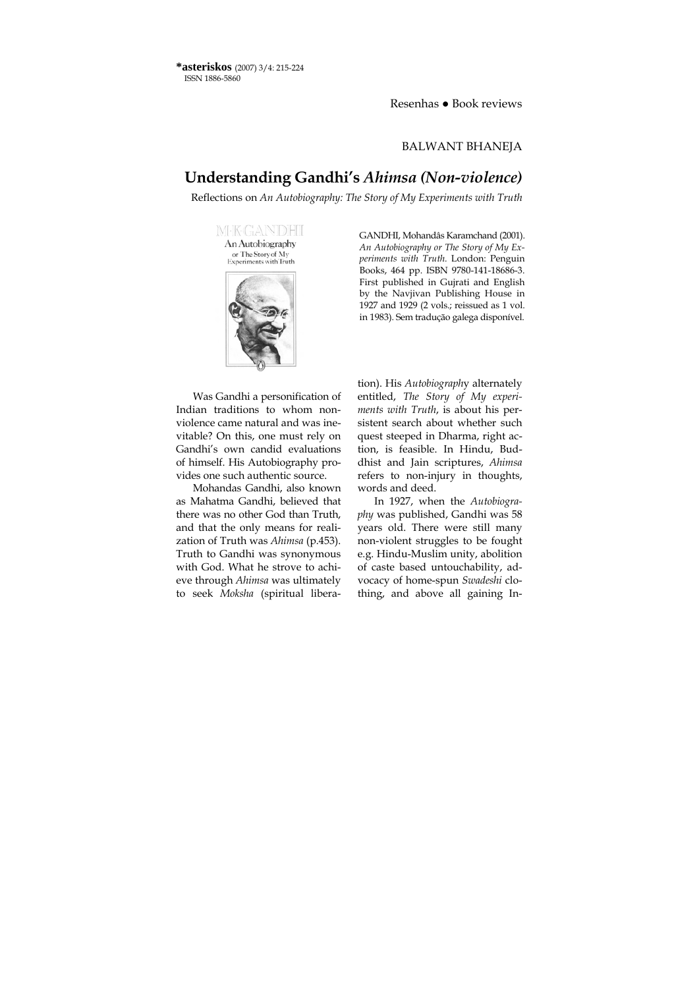**\*asteriskos** (2007) 3/4: 215-224 ISSN 1886-5860

Resenhas ● Book reviews

#### BALWANT BHANEJA

# **Understanding Gandhi's** *Ahimsa (Non-violence)*

Reflections on *An Autobiography: The Story of My Experiments with Truth*

MEK-GANDHI An Autobiography or The Story of My Experiments with Truth



Was Gandhi a personification of Indian traditions to whom nonviolence came natural and was inevitable? On this, one must rely on Gandhi's own candid evaluations of himself. His Autobiography provides one such authentic source.

Mohandas Gandhi, also known as Mahatma Gandhi, believed that there was no other God than Truth, and that the only means for realization of Truth was *Ahimsa* (p.453). Truth to Gandhi was synonymous with God. What he strove to achieve through *Ahimsa* was ultimately to seek *Moksha* (spiritual liberaGANDHI, Mohandâs Karamchand (2001). *An Autobiography or The Story of My Experiments with Truth.* London: Penguin Books, 464 pp. ISBN 9780-141-18686-3. First published in Gujrati and English by the Naviivan Publishing House in 1927 and 1929 (2 vols.; reissued as 1 vol. in 1983). Sem tradução galega disponível.

tion). His *Autobiograph*y alternately entitled, *The Story of My experiments with Truth*, is about his persistent search about whether such quest steeped in Dharma, right action, is feasible. In Hindu, Buddhist and Jain scriptures, *Ahimsa* refers to non-injury in thoughts, words and deed.

In 1927, when the *Autobiography* was published, Gandhi was 58 years old. There were still many non-violent struggles to be fought e.g. Hindu-Muslim unity, abolition of caste based untouchability, advocacy of home-spun *Swadeshi* clothing, and above all gaining In-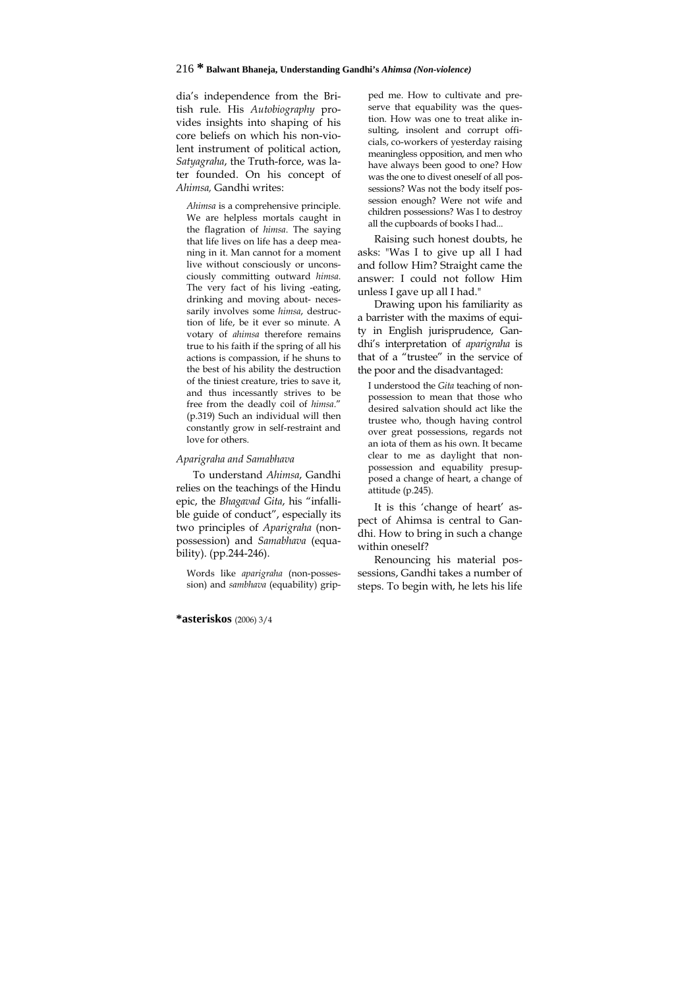dia's independence from the British rule. His *Autobiography* provides insights into shaping of his core beliefs on which his non-violent instrument of political action, *Satyagraha*, the Truth-force, was later founded. On his concept of *Ahimsa,* Gandhi writes:

*Ahimsa* is a comprehensive principle. We are helpless mortals caught in the flagration of *himsa*. The saying that life lives on life has a deep meaning in it. Man cannot for a moment live without consciously or unconsciously committing outward *himsa*. The very fact of his living -eating, drinking and moving about- necessarily involves some *himsa*, destruction of life, be it ever so minute. A votary of *ahimsa* therefore remains true to his faith if the spring of all his actions is compassion, if he shuns to the best of his ability the destruction of the tiniest creature, tries to save it, and thus incessantly strives to be free from the deadly coil of *himsa*." (p.319) Such an individual will then constantly grow in self-restraint and love for others.

#### *Aparigraha and Samabhava*

To understand *Ahimsa*, Gandhi relies on the teachings of the Hindu epic, the *Bhagavad Gita*, his "infallible guide of conduct", especially its two principles of *Aparigraha* (nonpossession) and *Samabhava* (equability). (pp.244-246).

Words like *aparigraha* (non-possession) and *sambhava* (equability) gripped me. How to cultivate and preserve that equability was the question. How was one to treat alike insulting, insolent and corrupt officials, co-workers of yesterday raising meaningless opposition, and men who have always been good to one? How was the one to divest oneself of all possessions? Was not the body itself possession enough? Were not wife and children possessions? Was I to destroy all the cupboards of books I had...

Raising such honest doubts, he asks: "Was I to give up all I had and follow Him? Straight came the answer: I could not follow Him unless I gave up all I had."

Drawing upon his familiarity as a barrister with the maxims of equity in English jurisprudence, Gandhi's interpretation of *aparigraha* is that of a "trustee" in the service of the poor and the disadvantaged:

I understood the *Gita* teaching of nonpossession to mean that those who desired salvation should act like the trustee who, though having control over great possessions, regards not an iota of them as his own. It became clear to me as daylight that nonpossession and equability presupposed a change of heart, a change of attitude (p.245).

It is this 'change of heart' aspect of Ahimsa is central to Gandhi. How to bring in such a change within oneself?

Renouncing his material possessions, Gandhi takes a number of steps. To begin with, he lets his life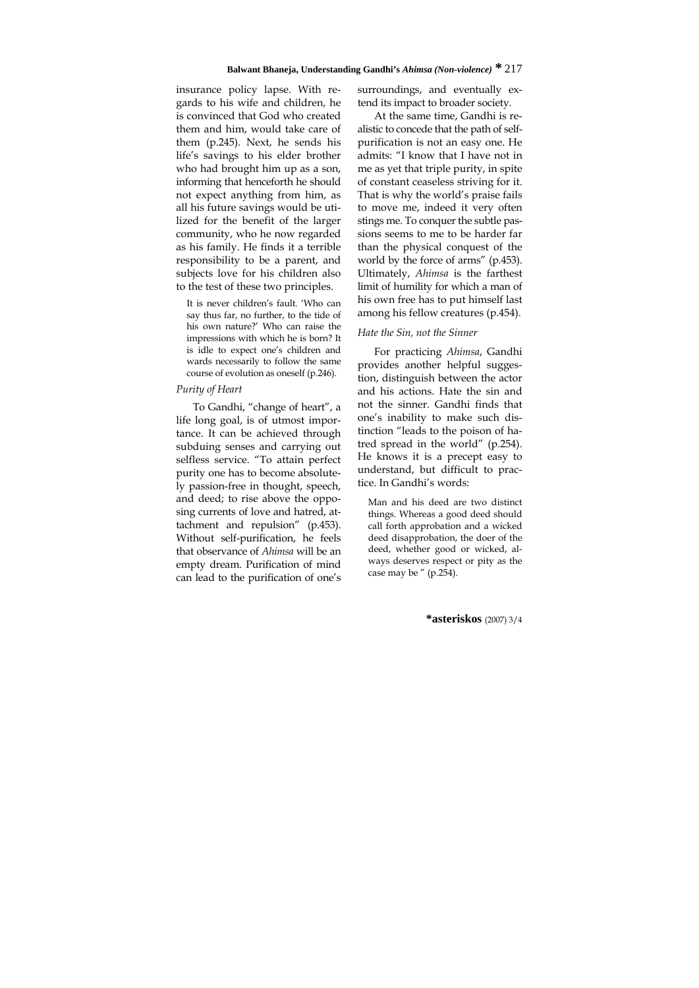insurance policy lapse. With regards to his wife and children, he is convinced that God who created them and him, would take care of them (p.245). Next, he sends his life's savings to his elder brother who had brought him up as a son, informing that henceforth he should not expect anything from him, as all his future savings would be utilized for the benefit of the larger community, who he now regarded as his family. He finds it a terrible responsibility to be a parent, and subjects love for his children also to the test of these two principles.

It is never children's fault. 'Who can say thus far, no further, to the tide of his own nature?' Who can raise the impressions with which he is born? It is idle to expect one's children and wards necessarily to follow the same course of evolution as oneself (p.246).

#### *Purity of Heart*

To Gandhi, "change of heart", a life long goal, is of utmost importance. It can be achieved through subduing senses and carrying out selfless service. "To attain perfect purity one has to become absolutely passion-free in thought, speech, and deed; to rise above the opposing currents of love and hatred, attachment and repulsion" (p.453). Without self-purification, he feels that observance of *Ahimsa* will be an empty dream. Purification of mind can lead to the purification of one's surroundings, and eventually extend its impact to broader society.

At the same time, Gandhi is realistic to concede that the path of selfpurification is not an easy one. He admits: "I know that I have not in me as yet that triple purity, in spite of constant ceaseless striving for it. That is why the world's praise fails to move me, indeed it very often stings me. To conquer the subtle passions seems to me to be harder far than the physical conquest of the world by the force of arms" (p.453). Ultimately, *Ahimsa* is the farthest limit of humility for which a man of his own free has to put himself last among his fellow creatures (p.454).

#### *Hate the Sin, not the Sinner*

For practicing *Ahimsa*, Gandhi provides another helpful suggestion, distinguish between the actor and his actions. Hate the sin and not the sinner. Gandhi finds that one's inability to make such distinction "leads to the poison of hatred spread in the world" (p.254). He knows it is a precept easy to understand, but difficult to practice. In Gandhi's words:

Man and his deed are two distinct things. Whereas a good deed should call forth approbation and a wicked deed disapprobation, the doer of the deed, whether good or wicked, always deserves respect or pity as the case may be " (p.254).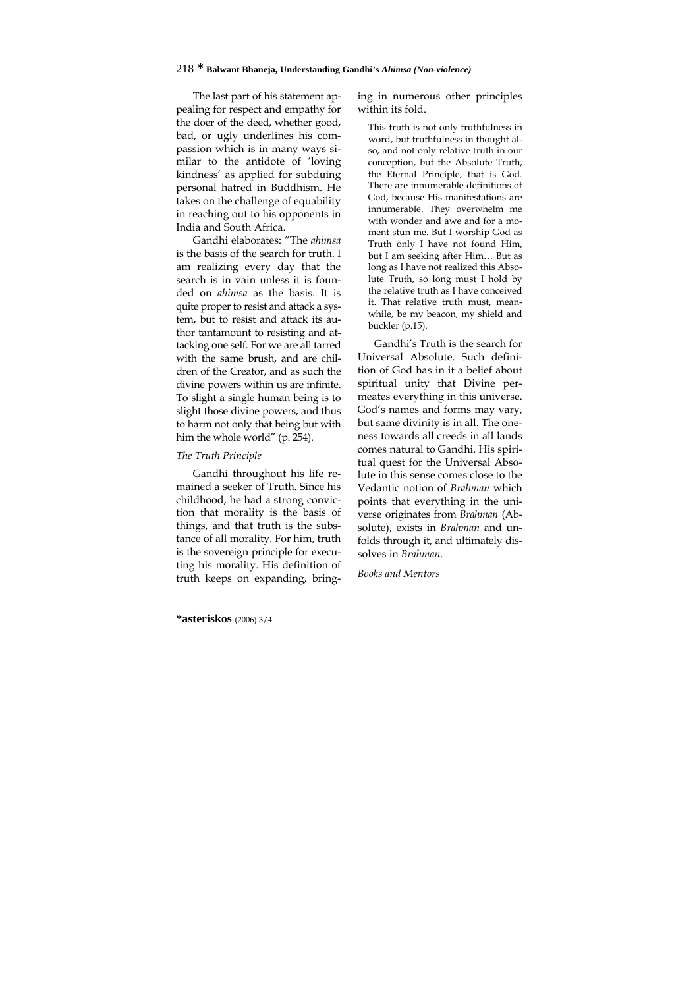## 218 **\* Balwant Bhaneja, Understanding Gandhi's** *Ahimsa (Non-violence)*

The last part of his statement appealing for respect and empathy for the doer of the deed, whether good, bad, or ugly underlines his compassion which is in many ways similar to the antidote of 'loving kindness' as applied for subduing personal hatred in Buddhism. He takes on the challenge of equability in reaching out to his opponents in India and South Africa.

Gandhi elaborates: "The *ahimsa* is the basis of the search for truth. I am realizing every day that the search is in vain unless it is founded on *ahimsa* as the basis. It is quite proper to resist and attack a system, but to resist and attack its author tantamount to resisting and attacking one self. For we are all tarred with the same brush, and are children of the Creator, and as such the divine powers within us are infinite. To slight a single human being is to slight those divine powers, and thus to harm not only that being but with him the whole world" (p. 254).

### *The Truth Principle*

Gandhi throughout his life remained a seeker of Truth. Since his childhood, he had a strong conviction that morality is the basis of things, and that truth is the substance of all morality. For him, truth is the sovereign principle for executing his morality. His definition of truth keeps on expanding, bringing in numerous other principles within its fold.

This truth is not only truthfulness in word, but truthfulness in thought also, and not only relative truth in our conception, but the Absolute Truth, the Eternal Principle, that is God. There are innumerable definitions of God, because His manifestations are innumerable. They overwhelm me with wonder and awe and for a moment stun me. But I worship God as Truth only I have not found Him, but I am seeking after Him… But as long as I have not realized this Absolute Truth, so long must I hold by the relative truth as I have conceived it. That relative truth must, meanwhile, be my beacon, my shield and buckler (p.15).

Gandhi's Truth is the search for Universal Absolute. Such definition of God has in it a belief about spiritual unity that Divine permeates everything in this universe. God's names and forms may vary, but same divinity is in all. The oneness towards all creeds in all lands comes natural to Gandhi. His spiritual quest for the Universal Absolute in this sense comes close to the Vedantic notion of *Brahman* which points that everything in the universe originates from *Brahman* (Absolute), exists in *Brahman* and unfolds through it, and ultimately dissolves in *Brahman*.

#### *Books and Mentors*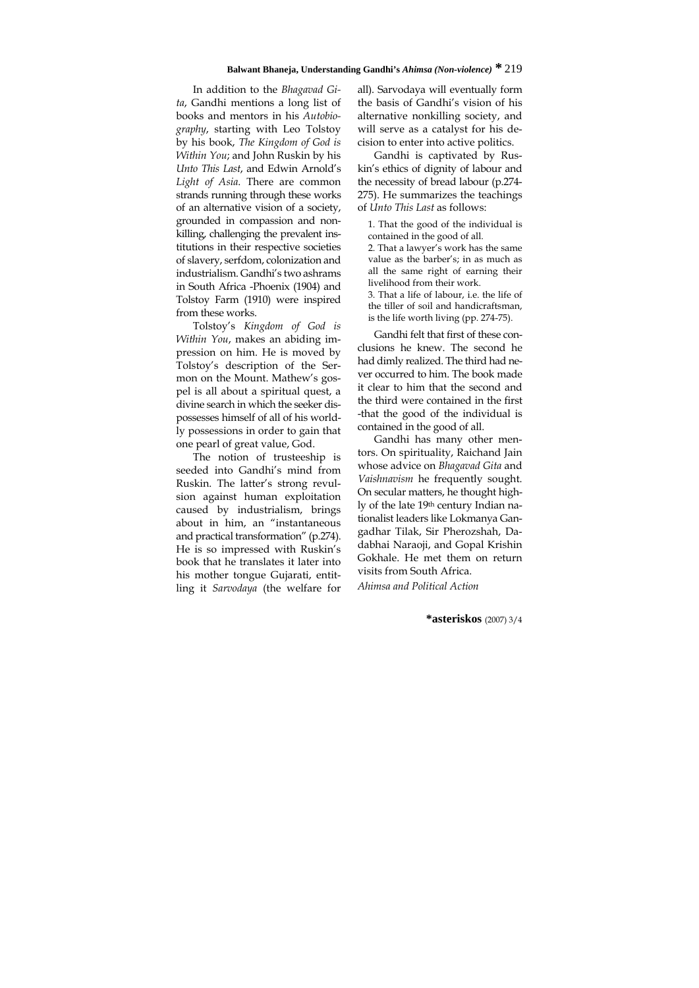In addition to the *Bhagavad Gita*, Gandhi mentions a long list of books and mentors in his *Autobiography*, starting with Leo Tolstoy by his book, *The Kingdom of God is Within You*; and John Ruskin by his *Unto This Last*, and Edwin Arnold's *Light of Asia*. There are common strands running through these works of an alternative vision of a society, grounded in compassion and nonkilling, challenging the prevalent institutions in their respective societies of slavery, serfdom, colonization and industrialism. Gandhi's two ashrams in South Africa -Phoenix (1904) and Tolstoy Farm (1910) were inspired from these works.

Tolstoy's *Kingdom of God is Within You*, makes an abiding impression on him. He is moved by Tolstoy's description of the Sermon on the Mount. Mathew's gospel is all about a spiritual quest, a divine search in which the seeker dispossesses himself of all of his worldly possessions in order to gain that one pearl of great value, God.

The notion of trusteeship is seeded into Gandhi's mind from Ruskin. The latter's strong revulsion against human exploitation caused by industrialism, brings about in him, an "instantaneous and practical transformation" (p.274). He is so impressed with Ruskin's book that he translates it later into his mother tongue Gujarati, entitling it *Sarvodaya* (the welfare for

all). Sarvodaya will eventually form the basis of Gandhi's vision of his alternative nonkilling society, and will serve as a catalyst for his decision to enter into active politics.

Gandhi is captivated by Ruskin's ethics of dignity of labour and the necessity of bread labour (p.274- 275). He summarizes the teachings of *Unto This Last* as follows:

1. That the good of the individual is contained in the good of all.

2. That a lawyer's work has the same value as the barber's; in as much as all the same right of earning their livelihood from their work. 3. That a life of labour, i.e. the life of the tiller of soil and handicraftsman,

is the life worth living (pp. 274-75).

Gandhi felt that first of these conclusions he knew. The second he had dimly realized. The third had never occurred to him. The book made it clear to him that the second and the third were contained in the first -that the good of the individual is contained in the good of all.

Gandhi has many other mentors. On spirituality, Raichand Jain whose advice on *Bhagavad Gita* and *Vaishnavism* he frequently sought. On secular matters, he thought highly of the late 19th century Indian nationalist leaders like Lokmanya Gangadhar Tilak, Sir Pherozshah, Dadabhai Naraoji, and Gopal Krishin Gokhale. He met them on return visits from South Africa.

*Ahimsa and Political Action*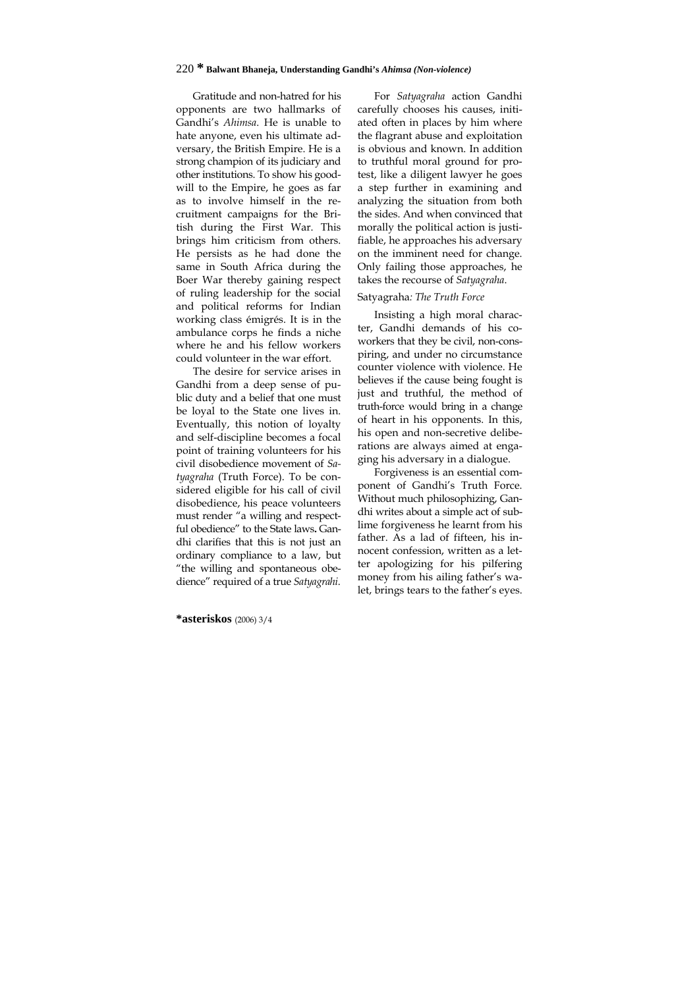## 220 **\* Balwant Bhaneja, Understanding Gandhi's** *Ahimsa (Non-violence)*

Gratitude and non-hatred for his opponents are two hallmarks of Gandhi's *Ahimsa*. He is unable to hate anyone, even his ultimate adversary, the British Empire. He is a strong champion of its judiciary and other institutions. To show his goodwill to the Empire, he goes as far as to involve himself in the recruitment campaigns for the British during the First War. This brings him criticism from others. He persists as he had done the same in South Africa during the Boer War thereby gaining respect of ruling leadership for the social and political reforms for Indian working class émigrés. It is in the ambulance corps he finds a niche where he and his fellow workers could volunteer in the war effort.

The desire for service arises in Gandhi from a deep sense of public duty and a belief that one must be loyal to the State one lives in. Eventually, this notion of loyalty and self-discipline becomes a focal point of training volunteers for his civil disobedience movement of *Satyagraha* (Truth Force). To be considered eligible for his call of civil disobedience, his peace volunteers must render "a willing and respectful obedience" to the State laws**.** Gandhi clarifies that this is not just an ordinary compliance to a law, but "the willing and spontaneous obedience" required of a true *Satyagrahi*.

For *Satyagraha* action Gandhi carefully chooses his causes, initiated often in places by him where the flagrant abuse and exploitation is obvious and known. In addition to truthful moral ground for protest, like a diligent lawyer he goes a step further in examining and analyzing the situation from both the sides. And when convinced that morally the political action is justifiable, he approaches his adversary on the imminent need for change. Only failing those approaches, he takes the recourse of *Satyagraha*.

#### Satyagraha*: The Truth Force*

Insisting a high moral character, Gandhi demands of his coworkers that they be civil, non-conspiring, and under no circumstance counter violence with violence. He believes if the cause being fought is just and truthful, the method of truth-force would bring in a change of heart in his opponents. In this, his open and non-secretive deliberations are always aimed at engaging his adversary in a dialogue.

Forgiveness is an essential component of Gandhi's Truth Force. Without much philosophizing, Gandhi writes about a simple act of sublime forgiveness he learnt from his father. As a lad of fifteen, his innocent confession, written as a letter apologizing for his pilfering money from his ailing father's walet, brings tears to the father's eyes.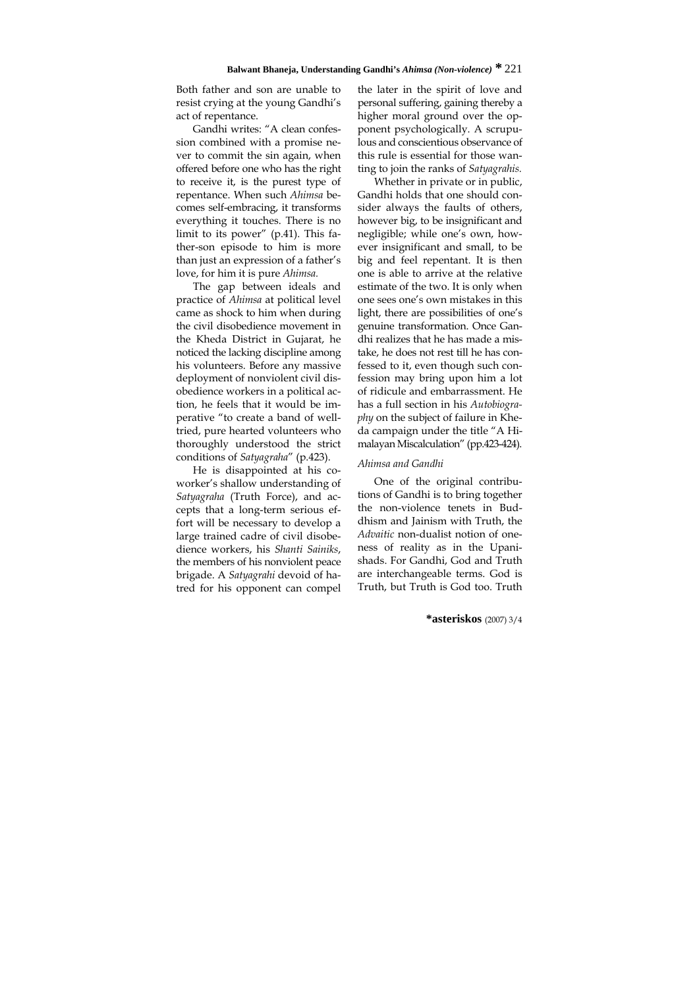Both father and son are unable to resist crying at the young Gandhi's act of repentance.

Gandhi writes: "A clean confession combined with a promise never to commit the sin again, when offered before one who has the right to receive it, is the purest type of repentance. When such *Ahimsa* becomes self-embracing, it transforms everything it touches. There is no limit to its power" (p.41). This father-son episode to him is more than just an expression of a father's love, for him it is pure *Ahimsa.*

The gap between ideals and practice of *Ahimsa* at political level came as shock to him when during the civil disobedience movement in the Kheda District in Gujarat, he noticed the lacking discipline among his volunteers. Before any massive deployment of nonviolent civil disobedience workers in a political action, he feels that it would be imperative "to create a band of welltried, pure hearted volunteers who thoroughly understood the strict conditions of *Satyagraha*" (p.423).

He is disappointed at his coworker's shallow understanding of *Satyagraha* (Truth Force), and accepts that a long-term serious effort will be necessary to develop a large trained cadre of civil disobedience workers, his *Shanti Sainiks*, the members of his nonviolent peace brigade. A *Satyagrahi* devoid of hatred for his opponent can compel the later in the spirit of love and personal suffering, gaining thereby a higher moral ground over the opponent psychologically. A scrupulous and conscientious observance of this rule is essential for those wanting to join the ranks of *Satyagrahis.*

Whether in private or in public, Gandhi holds that one should consider always the faults of others, however big, to be insignificant and negligible; while one's own, however insignificant and small, to be big and feel repentant. It is then one is able to arrive at the relative estimate of the two. It is only when one sees one's own mistakes in this light, there are possibilities of one's genuine transformation. Once Gandhi realizes that he has made a mistake, he does not rest till he has confessed to it, even though such confession may bring upon him a lot of ridicule and embarrassment. He has a full section in his *Autobiography* on the subject of failure in Kheda campaign under the title "A Himalayan Miscalculation" (pp.423-424).

#### *Ahimsa and Gandhi*

One of the original contributions of Gandhi is to bring together the non-violence tenets in Buddhism and Jainism with Truth, the *Advaitic* non-dualist notion of oneness of reality as in the Upanishads. For Gandhi, God and Truth are interchangeable terms. God is Truth, but Truth is God too. Truth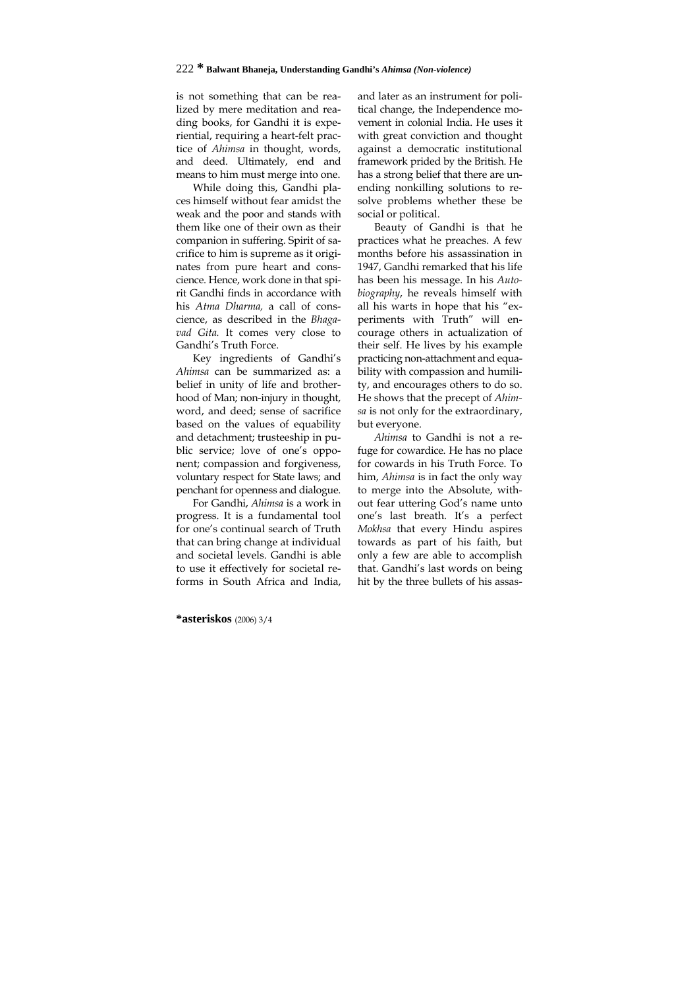is not something that can be realized by mere meditation and reading books, for Gandhi it is experiential, requiring a heart-felt practice of *Ahimsa* in thought, words, and deed. Ultimately, end and means to him must merge into one.

While doing this, Gandhi places himself without fear amidst the weak and the poor and stands with them like one of their own as their companion in suffering. Spirit of sacrifice to him is supreme as it originates from pure heart and conscience. Hence, work done in that spirit Gandhi finds in accordance with his *Atma Dharma,* a call of conscience, as described in the *Bhagavad Gita.* It comes very close to Gandhi's Truth Force.

Key ingredients of Gandhi's *Ahimsa* can be summarized as: a belief in unity of life and brotherhood of Man; non-injury in thought, word, and deed; sense of sacrifice based on the values of equability and detachment; trusteeship in public service; love of one's opponent; compassion and forgiveness, voluntary respect for State laws; and penchant for openness and dialogue.

For Gandhi, *Ahimsa* is a work in progress. It is a fundamental tool for one's continual search of Truth that can bring change at individual and societal levels. Gandhi is able to use it effectively for societal reforms in South Africa and India,

and later as an instrument for political change, the Independence movement in colonial India. He uses it with great conviction and thought against a democratic institutional framework prided by the British. He has a strong belief that there are unending nonkilling solutions to resolve problems whether these be social or political.

Beauty of Gandhi is that he practices what he preaches. A few months before his assassination in 1947, Gandhi remarked that his life has been his message. In his *Autobiography*, he reveals himself with all his warts in hope that his "experiments with Truth" will encourage others in actualization of their self. He lives by his example practicing non-attachment and equability with compassion and humility, and encourages others to do so. He shows that the precept of *Ahimsa* is not only for the extraordinary, but everyone.

*Ahimsa* to Gandhi is not a refuge for cowardice. He has no place for cowards in his Truth Force. To him, *Ahimsa* is in fact the only way to merge into the Absolute, without fear uttering God's name unto one's last breath. It's a perfect *Mokhsa* that every Hindu aspires towards as part of his faith, but only a few are able to accomplish that. Gandhi's last words on being hit by the three bullets of his assas-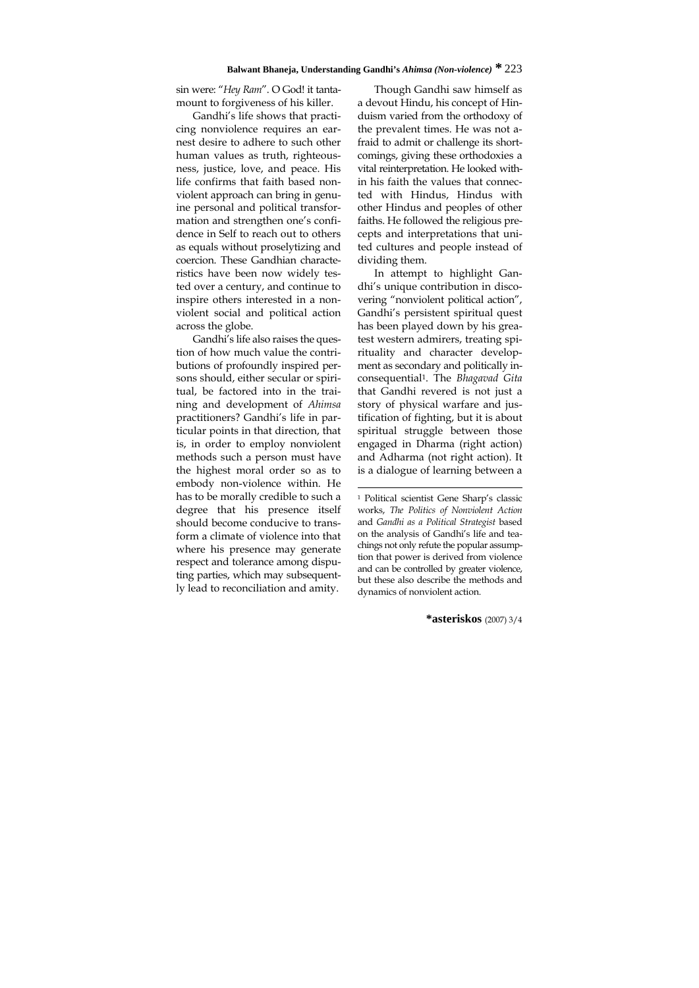### **Balwant Bhaneja, Understanding Gandhi's** *Ahimsa (Non-violence)* **\*** 223

sin were: "*Hey Ram*". O God! it tantamount to forgiveness of his killer.

Gandhi's life shows that practicing nonviolence requires an earnest desire to adhere to such other human values as truth, righteousness, justice, love, and peace. His life confirms that faith based nonviolent approach can bring in genuine personal and political transformation and strengthen one's confidence in Self to reach out to others as equals without proselytizing and coercion. These Gandhian characteristics have been now widely tested over a century, and continue to inspire others interested in a nonviolent social and political action across the globe.

Gandhi's life also raises the question of how much value the contributions of profoundly inspired persons should, either secular or spiritual, be factored into in the training and development of *Ahimsa* practitioners? Gandhi's life in particular points in that direction, that is, in order to employ nonviolent methods such a person must have the highest moral order so as to embody non-violence within. He has to be morally credible to such a degree that his presence itself should become conducive to transform a climate of violence into that where his presence may generate respect and tolerance among disputing parties, which may subsequently lead to reconciliation and amity.

Though Gandhi saw himself as a devout Hindu, his concept of Hinduism varied from the orthodoxy of the prevalent times. He was not afraid to admit or challenge its shortcomings, giving these orthodoxies a vital reinterpretation. He looked within his faith the values that connected with Hindus, Hindus with other Hindus and peoples of other faiths. He followed the religious precepts and interpretations that united cultures and people instead of dividing them.

In attempt to highlight Gandhi's unique contribution in discovering "nonviolent political action", Gandhi's persistent spiritual quest has been played down by his greatest western admirers, treating spirituality and character development as secondary and politically inconsequential1. The *Bhagavad Gita*  that Gandhi revered is not just a story of physical warfare and justification of fighting, but it is about spiritual struggle between those engaged in Dharma (right action) and Adharma (not right action). It is a dialogue of learning between a

1 Political scientist Gene Sharp's classic works, *The Politics of Nonviolent Action* and *Gandhi as a Political Strategist* based on the analysis of Gandhi's life and teachings not only refute the popular assumption that power is derived from violence and can be controlled by greater violence, but these also describe the methods and dynamics of nonviolent action.

1